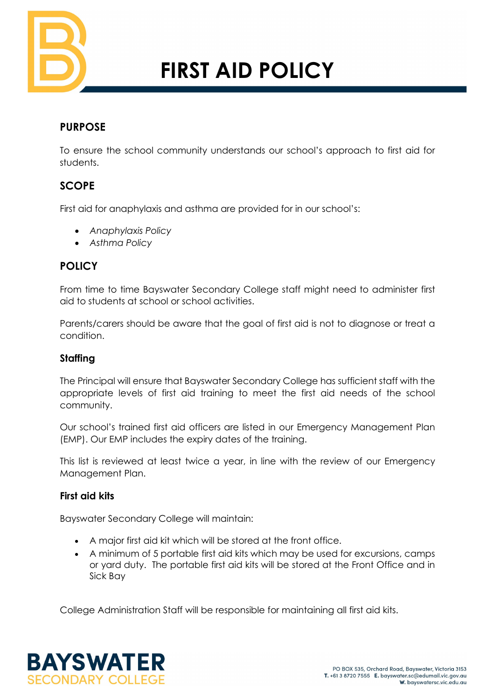

# **FIRST AID POLICY**

# **PURPOSE**

To ensure the school community understands our school's approach to first aid for students.

# **SCOPE**

First aid for anaphylaxis and asthma are provided for in our school's:

- *Anaphylaxis Policy*
- *Asthma Policy*

# **POLICY**

From time to time Bayswater Secondary College staff might need to administer first aid to students at school or school activities.

Parents/carers should be aware that the goal of first aid is not to diagnose or treat a condition.

## **Staffing**

The Principal will ensure that Bayswater Secondary College has sufficient staff with the appropriate levels of first aid training to meet the first aid needs of the school community.

Our school's trained first aid officers are listed in our Emergency Management Plan (EMP). Our EMP includes the expiry dates of the training.

This list is reviewed at least twice a year, in line with the review of our Emergency Management Plan.

## **First aid kits**

Bayswater Secondary College will maintain:

- A major first aid kit which will be stored at the front office.
- A minimum of 5 portable first aid kits which may be used for excursions, camps or yard duty. The portable first aid kits will be stored at the Front Office and in Sick Bay

College Administration Staff will be responsible for maintaining all first aid kits.

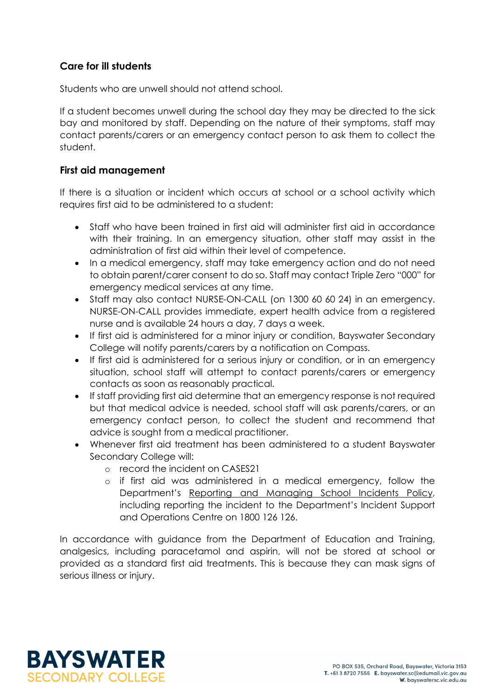## **Care for ill students**

Students who are unwell should not attend school.

If a student becomes unwell during the school day they may be directed to the sick bay and monitored by staff. Depending on the nature of their symptoms, staff may contact parents/carers or an emergency contact person to ask them to collect the student.

#### **First aid management**

If there is a situation or incident which occurs at school or a school activity which requires first aid to be administered to a student:

- Staff who have been trained in first aid will administer first aid in accordance with their training. In an emergency situation, other staff may assist in the administration of first aid within their level of competence.
- In a medical emergency, staff may take emergency action and do not need to obtain parent/carer consent to do so. Staff may contact Triple Zero "000" for emergency medical services at any time.
- Staff may also contact NURSE-ON-CALL (on 1300 60 60 24) in an emergency. NURSE-ON-CALL provides immediate, expert health advice from a registered nurse and is available 24 hours a day, 7 days a week.
- If first aid is administered for a minor injury or condition, Bayswater Secondary College will notify parents/carers by a notification on Compass.
- If first aid is administered for a serious injury or condition, or in an emergency situation, school staff will attempt to contact parents/carers or emergency contacts as soon as reasonably practical.
- If staff providing first aid determine that an emergency response is not required but that medical advice is needed, school staff will ask parents/carers, or an emergency contact person, to collect the student and recommend that advice is sought from a medical practitioner.
- Whenever first aid treatment has been administered to a student Bayswater Secondary College will:
	- o record the incident on CASES21
	- o if first aid was administered in a medical emergency, follow the Department's [Reporting and Managing School Incidents Policy,](https://www2.education.vic.gov.au/pal/reporting-and-managing-school-incidents-including-emergencies/policy) including reporting the incident to the Department's Incident Support and Operations Centre on 1800 126 126.

In accordance with guidance from the Department of Education and Training, analgesics, including paracetamol and aspirin, will not be stored at school or provided as a standard first aid treatments. This is because they can mask signs of serious illness or injury.